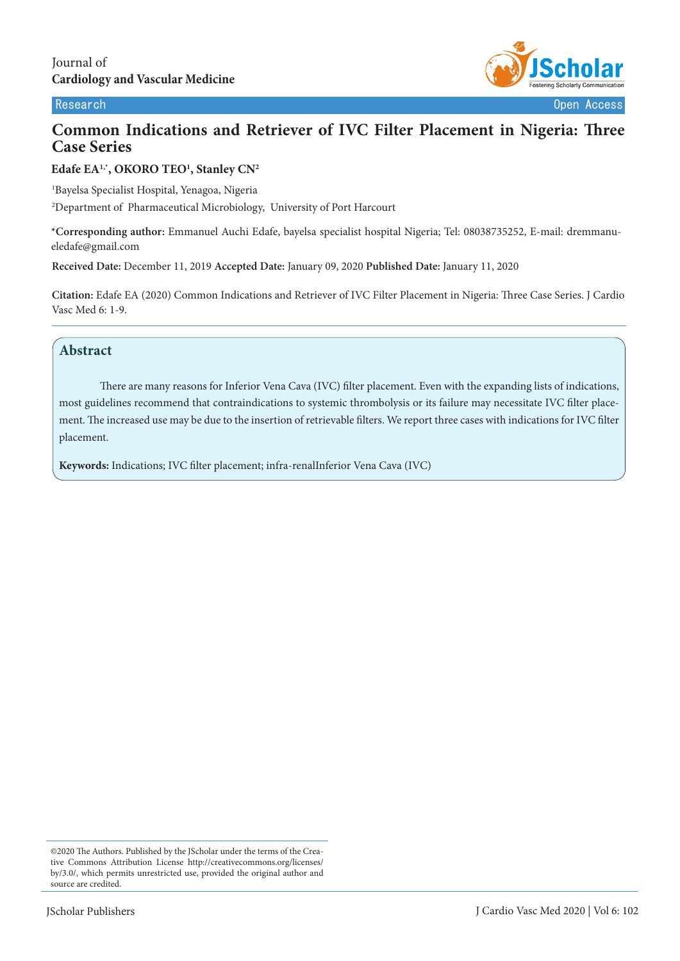

# **Common Indications and Retriever of IVC Filter Placement in Nigeria: Three Case Series**

## **Edafe EA1,\*, OKORO TEO1 , Stanley CN2**

1 Bayelsa Specialist Hospital, Yenagoa, Nigeria 2 Department of Pharmaceutical Microbiology, University of Port Harcourt

**\*Corresponding author:** Emmanuel Auchi Edafe, bayelsa specialist hospital Nigeria; Tel: 08038735252, E-mail: dremmanueledafe@gmail.com

**Received Date:** December 11, 2019 **Accepted Date:** January 09, 2020 **Published Date:** January 11, 2020

**Citation:** Edafe EA (2020) Common Indications and Retriever of IVC Filter Placement in Nigeria: Three Case Series. J Cardio Vasc Med 6: 1-9.

## **Abstract**

There are many reasons for Inferior Vena Cava (IVC) filter placement. Even with the expanding lists of indications, most guidelines recommend that contraindications to systemic thrombolysis or its failure may necessitate IVC filter placement. The increased use may be due to the insertion of retrievable filters. We report three cases with indications for IVC filter placement.

**Keywords:** Indications; IVC filter placement; infra-renalInferior Vena Cava (IVC)

<sup>©2020</sup> The Authors. Published by the JScholar under the terms of the Creative Commons Attribution License http://creativecommons.org/licenses/ by/3.0/, which permits unrestricted use, provided the original author and source are credited.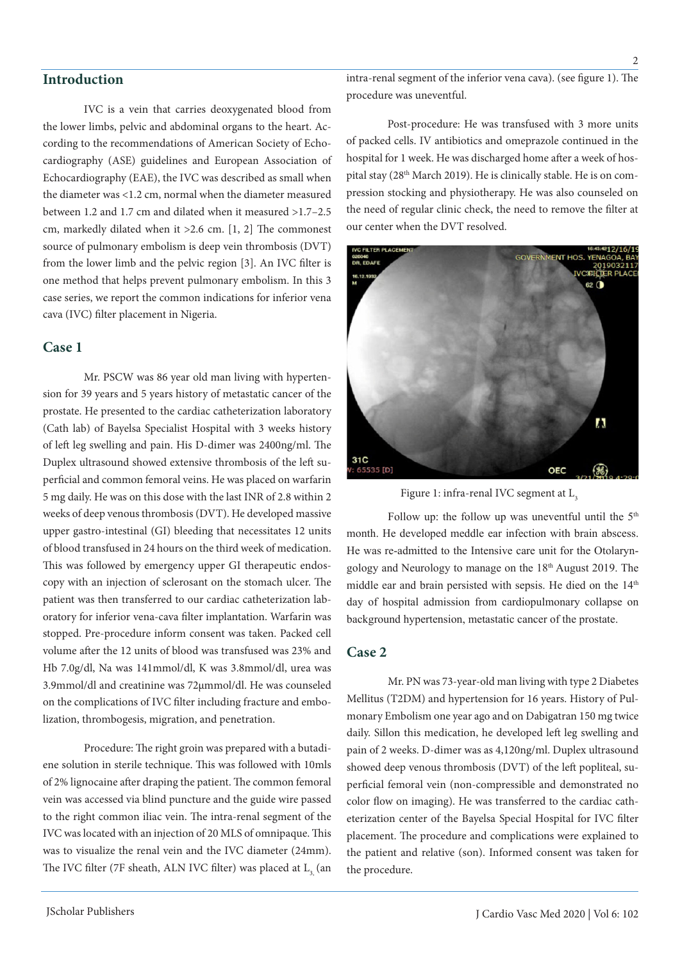## **Introduction**

IVC is a vein that carries deoxygenated blood from the lower limbs, pelvic and abdominal organs to the heart. According to the recommendations of American Society of Echocardiography (ASE) guidelines and European Association of Echocardiography (EAE), the IVC was described as small when the diameter was <1.2 cm, normal when the diameter measured between 1.2 and 1.7 cm and dilated when it measured >1.7–2.5 cm, markedly dilated when it >2.6 cm. [1, 2] The commonest source of pulmonary embolism is deep vein thrombosis (DVT) from the lower limb and the pelvic region [3]. An IVC filter is one method that helps prevent pulmonary embolism. In this 3 case series, we report the common indications for inferior vena cava (IVC) filter placement in Nigeria.

## **Case 1**

Mr. PSCW was 86 year old man living with hypertension for 39 years and 5 years history of metastatic cancer of the prostate. He presented to the cardiac catheterization laboratory (Cath lab) of Bayelsa Specialist Hospital with 3 weeks history of left leg swelling and pain. His D-dimer was 2400ng/ml. The Duplex ultrasound showed extensive thrombosis of the left superficial and common femoral veins. He was placed on warfarin 5 mg daily. He was on this dose with the last INR of 2.8 within 2 weeks of deep venous thrombosis (DVT). He developed massive upper gastro-intestinal (GI) bleeding that necessitates 12 units of blood transfused in 24 hours on the third week of medication. This was followed by emergency upper GI therapeutic endoscopy with an injection of sclerosant on the stomach ulcer. The patient was then transferred to our cardiac catheterization laboratory for inferior vena-cava filter implantation. Warfarin was stopped. Pre-procedure inform consent was taken. Packed cell volume after the 12 units of blood was transfused was 23% and Hb 7.0g/dl, Na was 141mmol/dl, K was 3.8mmol/dl, urea was 3.9mmol/dl and creatinine was 72µmmol/dl. He was counseled on the complications of IVC filter including fracture and embolization, thrombogesis, migration, and penetration.

Procedure: The right groin was prepared with a butadiene solution in sterile technique. This was followed with 10mls of 2% lignocaine after draping the patient. The common femoral vein was accessed via blind puncture and the guide wire passed to the right common iliac vein. The intra-renal segment of the IVC was located with an injection of 20 MLS of omnipaque. This was to visualize the renal vein and the IVC diameter (24mm). The IVC filter (7F sheath, ALN IVC filter) was placed at L<sub>2</sub> (an intra-renal segment of the inferior vena cava). (see figure 1). The procedure was uneventful.

Post-procedure: He was transfused with 3 more units of packed cells. IV antibiotics and omeprazole continued in the hospital for 1 week. He was discharged home after a week of hospital stay (28<sup>th</sup> March 2019). He is clinically stable. He is on compression stocking and physiotherapy. He was also counseled on the need of regular clinic check, the need to remove the filter at our center when the DVT resolved.



Figure 1: infra-renal IVC segment at L<sub>2</sub>

Follow up: the follow up was uneventful until the  $5<sup>th</sup>$ month. He developed meddle ear infection with brain abscess. He was re-admitted to the Intensive care unit for the Otolaryngology and Neurology to manage on the 18<sup>th</sup> August 2019. The middle ear and brain persisted with sepsis. He died on the 14<sup>th</sup> day of hospital admission from cardiopulmonary collapse on background hypertension, metastatic cancer of the prostate.

#### **Case 2**

Mr. PN was 73-year-old man living with type 2 Diabetes Mellitus (T2DM) and hypertension for 16 years. History of Pulmonary Embolism one year ago and on Dabigatran 150 mg twice daily. Sillon this medication, he developed left leg swelling and pain of 2 weeks. D-dimer was as 4,120ng/ml. Duplex ultrasound showed deep venous thrombosis (DVT) of the left popliteal, superficial femoral vein (non-compressible and demonstrated no color flow on imaging). He was transferred to the cardiac catheterization center of the Bayelsa Special Hospital for IVC filter placement. The procedure and complications were explained to the patient and relative (son). Informed consent was taken for the procedure.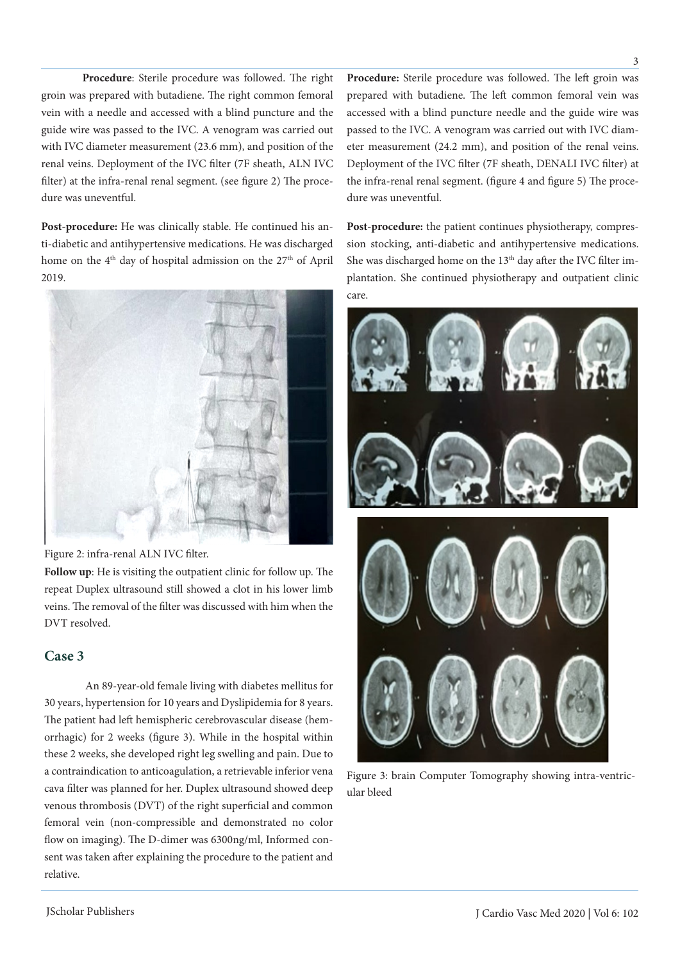**Procedure**: Sterile procedure was followed. The right groin was prepared with butadiene. The right common femoral vein with a needle and accessed with a blind puncture and the guide wire was passed to the IVC. A venogram was carried out with IVC diameter measurement (23.6 mm), and position of the renal veins. Deployment of the IVC filter (7F sheath, ALN IVC filter) at the infra-renal renal segment. (see figure 2) The procedure was uneventful.

**Post-procedure:** He was clinically stable. He continued his anti-diabetic and antihypertensive medications. He was discharged home on the 4<sup>th</sup> day of hospital admission on the 27<sup>th</sup> of April 2019.



Figure 2: infra-renal ALN IVC filter.

**Follow up**: He is visiting the outpatient clinic for follow up. The repeat Duplex ultrasound still showed a clot in his lower limb veins. The removal of the filter was discussed with him when the DVT resolved.

## **Case 3**

An 89-year-old female living with diabetes mellitus for 30 years, hypertension for 10 years and Dyslipidemia for 8 years. The patient had left hemispheric cerebrovascular disease (hemorrhagic) for 2 weeks (figure 3). While in the hospital within these 2 weeks, she developed right leg swelling and pain. Due to a contraindication to anticoagulation, a retrievable inferior vena cava filter was planned for her. Duplex ultrasound showed deep venous thrombosis (DVT) of the right superficial and common femoral vein (non-compressible and demonstrated no color flow on imaging). The D-dimer was 6300ng/ml, Informed consent was taken after explaining the procedure to the patient and relative.

**Procedure:** Sterile procedure was followed. The left groin was prepared with butadiene. The left common femoral vein was accessed with a blind puncture needle and the guide wire was passed to the IVC. A venogram was carried out with IVC diameter measurement (24.2 mm), and position of the renal veins. Deployment of the IVC filter (7F sheath, DENALI IVC filter) at the infra-renal renal segment. (figure 4 and figure 5) The procedure was uneventful.

**Post-procedure:** the patient continues physiotherapy, compression stocking, anti-diabetic and antihypertensive medications. She was discharged home on the 13<sup>th</sup> day after the IVC filter implantation. She continued physiotherapy and outpatient clinic care.



Figure 3: brain Computer Tomography showing intra-ventricular bleed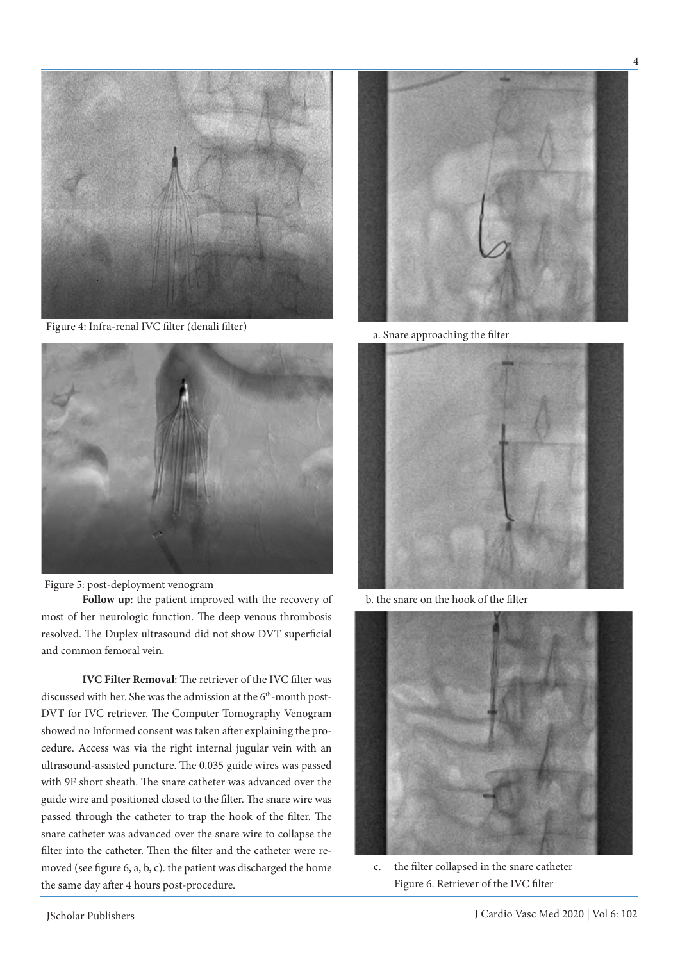

Figure 4: Infra-renal IVC filter (denali filter)



Figure 5: post-deployment venogram

**Follow up**: the patient improved with the recovery of most of her neurologic function. The deep venous thrombosis resolved. The Duplex ultrasound did not show DVT superficial and common femoral vein.

**IVC Filter Removal**: The retriever of the IVC filter was discussed with her. She was the admission at the 6<sup>th</sup>-month post-DVT for IVC retriever. The Computer Tomography Venogram showed no Informed consent was taken after explaining the procedure. Access was via the right internal jugular vein with an ultrasound-assisted puncture. The 0.035 guide wires was passed with 9F short sheath. The snare catheter was advanced over the guide wire and positioned closed to the filter. The snare wire was passed through the catheter to trap the hook of the filter. The snare catheter was advanced over the snare wire to collapse the filter into the catheter. Then the filter and the catheter were removed (see figure 6, a, b, c). the patient was discharged the home the same day after 4 hours post-procedure.



a. Snare approaching the filter



b. the snare on the hook of the filter



c. the filter collapsed in the snare catheter Figure 6. Retriever of the IVC filter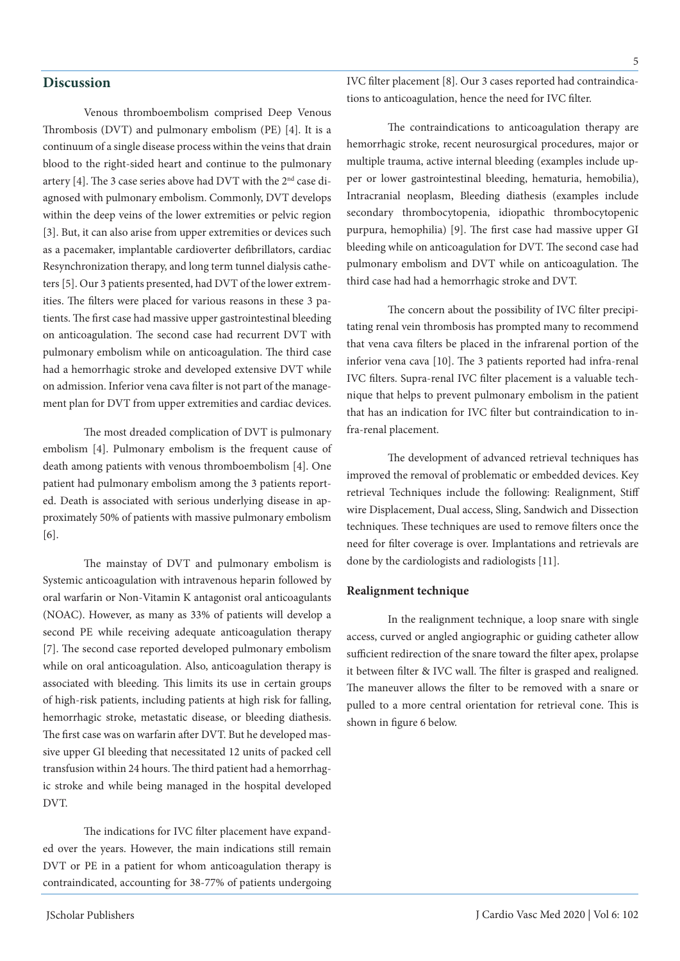## **Discussion**

Venous thromboembolism comprised Deep Venous Thrombosis (DVT) and pulmonary embolism (PE) [4]. It is a continuum of a single disease process within the veins that drain blood to the right-sided heart and continue to the pulmonary artery [4]. The 3 case series above had DVT with the 2nd case diagnosed with pulmonary embolism. Commonly, DVT develops within the deep veins of the lower extremities or pelvic region [3]. But, it can also arise from upper extremities or devices such as a pacemaker, implantable cardioverter defibrillators, cardiac Resynchronization therapy, and long term tunnel dialysis catheters [5]. Our 3 patients presented, had DVT of the lower extremities. The filters were placed for various reasons in these 3 patients. The first case had massive upper gastrointestinal bleeding on anticoagulation. The second case had recurrent DVT with pulmonary embolism while on anticoagulation. The third case had a hemorrhagic stroke and developed extensive DVT while on admission. Inferior vena cava filter is not part of the management plan for DVT from upper extremities and cardiac devices.

The most dreaded complication of DVT is pulmonary embolism [4]. Pulmonary embolism is the frequent cause of death among patients with venous thromboembolism [4]. One patient had pulmonary embolism among the 3 patients reported. Death is associated with serious underlying disease in approximately 50% of patients with massive pulmonary embolism [6].

The mainstay of DVT and pulmonary embolism is Systemic anticoagulation with intravenous heparin followed by oral warfarin or Non-Vitamin K antagonist oral anticoagulants (NOAC). However, as many as 33% of patients will develop a second PE while receiving adequate anticoagulation therapy [7]. The second case reported developed pulmonary embolism while on oral anticoagulation. Also, anticoagulation therapy is associated with bleeding. This limits its use in certain groups of high-risk patients, including patients at high risk for falling, hemorrhagic stroke, metastatic disease, or bleeding diathesis. The first case was on warfarin after DVT. But he developed massive upper GI bleeding that necessitated 12 units of packed cell transfusion within 24 hours. The third patient had a hemorrhagic stroke and while being managed in the hospital developed DVT.

The indications for IVC filter placement have expanded over the years. However, the main indications still remain DVT or PE in a patient for whom anticoagulation therapy is contraindicated, accounting for 38-77% of patients undergoing IVC filter placement [8]. Our 3 cases reported had contraindications to anticoagulation, hence the need for IVC filter.

The contraindications to anticoagulation therapy are hemorrhagic stroke, recent neurosurgical procedures, major or multiple trauma, active internal bleeding (examples include upper or lower gastrointestinal bleeding, hematuria, hemobilia), Intracranial neoplasm, Bleeding diathesis (examples include secondary thrombocytopenia, idiopathic thrombocytopenic purpura, hemophilia) [9]. The first case had massive upper GI bleeding while on anticoagulation for DVT. The second case had pulmonary embolism and DVT while on anticoagulation. The third case had had a hemorrhagic stroke and DVT.

The concern about the possibility of IVC filter precipitating renal vein thrombosis has prompted many to recommend that vena cava filters be placed in the infrarenal portion of the inferior vena cava [10]. The 3 patients reported had infra-renal IVC filters. Supra-renal IVC filter placement is a valuable technique that helps to prevent pulmonary embolism in the patient that has an indication for IVC filter but contraindication to infra-renal placement.

The development of advanced retrieval techniques has improved the removal of problematic or embedded devices. Key retrieval Techniques include the following: Realignment, Stiff wire Displacement, Dual access, Sling, Sandwich and Dissection techniques. These techniques are used to remove filters once the need for filter coverage is over. Implantations and retrievals are done by the cardiologists and radiologists [11].

#### **Realignment technique**

In the realignment technique, a loop snare with single access, curved or angled angiographic or guiding catheter allow sufficient redirection of the snare toward the filter apex, prolapse it between filter & IVC wall. The filter is grasped and realigned. The maneuver allows the filter to be removed with a snare or pulled to a more central orientation for retrieval cone. This is shown in figure 6 below.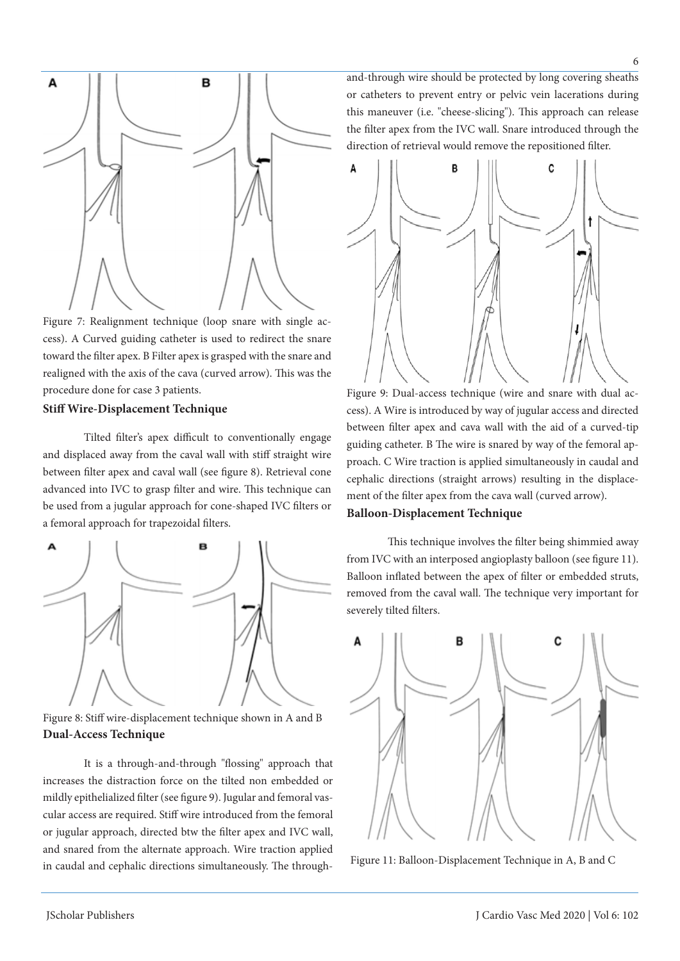

Figure 7: Realignment technique (loop snare with single access). A Curved guiding catheter is used to redirect the snare toward the filter apex. B Filter apex is grasped with the snare and realigned with the axis of the cava (curved arrow). This was the procedure done for case 3 patients.

### **Stiff Wire-Displacement Technique**

Tilted filter's apex difficult to conventionally engage and displaced away from the caval wall with stiff straight wire between filter apex and caval wall (see figure 8). Retrieval cone advanced into IVC to grasp filter and wire. This technique can be used from a jugular approach for cone-shaped IVC filters or a femoral approach for trapezoidal filters.



Figure 8: Stiff wire-displacement technique shown in A and B **Dual-Access Technique**

It is a through-and-through "flossing" approach that increases the distraction force on the tilted non embedded or mildly epithelialized filter (see figure 9). Jugular and femoral vascular access are required. Stiff wire introduced from the femoral or jugular approach, directed btw the filter apex and IVC wall, and snared from the alternate approach. Wire traction applied in caudal and cephalic directions simultaneously. The throughand-through wire should be protected by long covering sheaths or catheters to prevent entry or pelvic vein lacerations during this maneuver (i.e. "cheese-slicing"). This approach can release the filter apex from the IVC wall. Snare introduced through the direction of retrieval would remove the repositioned filter.



Figure 9: Dual-access technique (wire and snare with dual access). A Wire is introduced by way of jugular access and directed between filter apex and cava wall with the aid of a curved-tip guiding catheter. B The wire is snared by way of the femoral approach. C Wire traction is applied simultaneously in caudal and cephalic directions (straight arrows) resulting in the displacement of the filter apex from the cava wall (curved arrow).

#### **Balloon-Displacement Technique**

This technique involves the filter being shimmied away from IVC with an interposed angioplasty balloon (see figure 11). Balloon inflated between the apex of filter or embedded struts, removed from the caval wall. The technique very important for severely tilted filters.



Figure 11: Balloon-Displacement Technique in A, B and C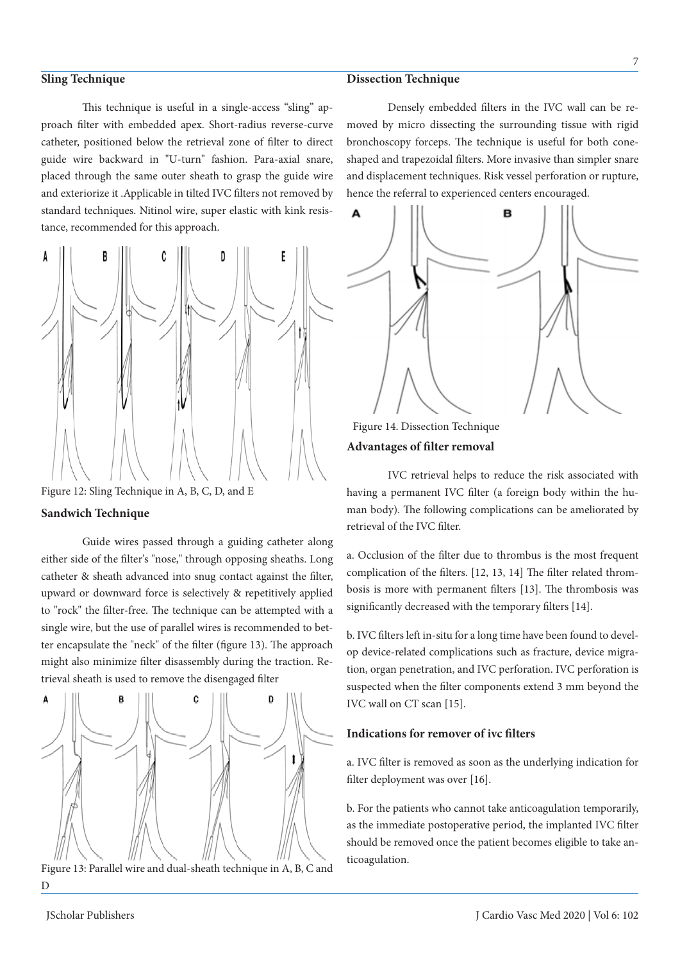#### **Sling Technique**

This technique is useful in a single-access "sling" approach filter with embedded apex. Short-radius reverse-curve catheter, positioned below the retrieval zone of filter to direct guide wire backward in "U-turn" fashion. Para-axial snare, placed through the same outer sheath to grasp the guide wire and exteriorize it .Applicable in tilted IVC filters not removed by standard techniques. Nitinol wire, super elastic with kink resistance, recommended for this approach.



Figure 12: Sling Technique in A, B, C, D, and E

### **Sandwich Technique**

Guide wires passed through a guiding catheter along either side of the filter's "nose," through opposing sheaths. Long catheter & sheath advanced into snug contact against the filter, upward or downward force is selectively & repetitively applied to "rock" the filter-free. The technique can be attempted with a single wire, but the use of parallel wires is recommended to better encapsulate the "neck" of the filter (figure 13). The approach might also minimize filter disassembly during the traction. Retrieval sheath is used to remove the disengaged filter



Figure 13: Parallel wire and dual-sheath technique in A, B, C and D

#### **Dissection Technique**

Densely embedded filters in the IVC wall can be removed by micro dissecting the surrounding tissue with rigid bronchoscopy forceps. The technique is useful for both coneshaped and trapezoidal filters. More invasive than simpler snare and displacement techniques. Risk vessel perforation or rupture, hence the referral to experienced centers encouraged.



Figure 14. Dissection Technique **Advantages of filter removal**

IVC retrieval helps to reduce the risk associated with having a permanent IVC filter (a foreign body within the human body). The following complications can be ameliorated by retrieval of the IVC filter.

a. Occlusion of the filter due to thrombus is the most frequent complication of the filters. [12, 13, 14] The filter related thrombosis is more with permanent filters [13]. The thrombosis was significantly decreased with the temporary filters [14].

b. IVC filters left in-situ for a long time have been found to develop device-related complications such as fracture, device migration, organ penetration, and IVC perforation. IVC perforation is suspected when the filter components extend 3 mm beyond the IVC wall on CT scan [15].

#### **Indications for remover of ivc filters**

a. IVC filter is removed as soon as the underlying indication for filter deployment was over [16].

b. For the patients who cannot take anticoagulation temporarily, as the immediate postoperative period, the implanted IVC filter should be removed once the patient becomes eligible to take anticoagulation.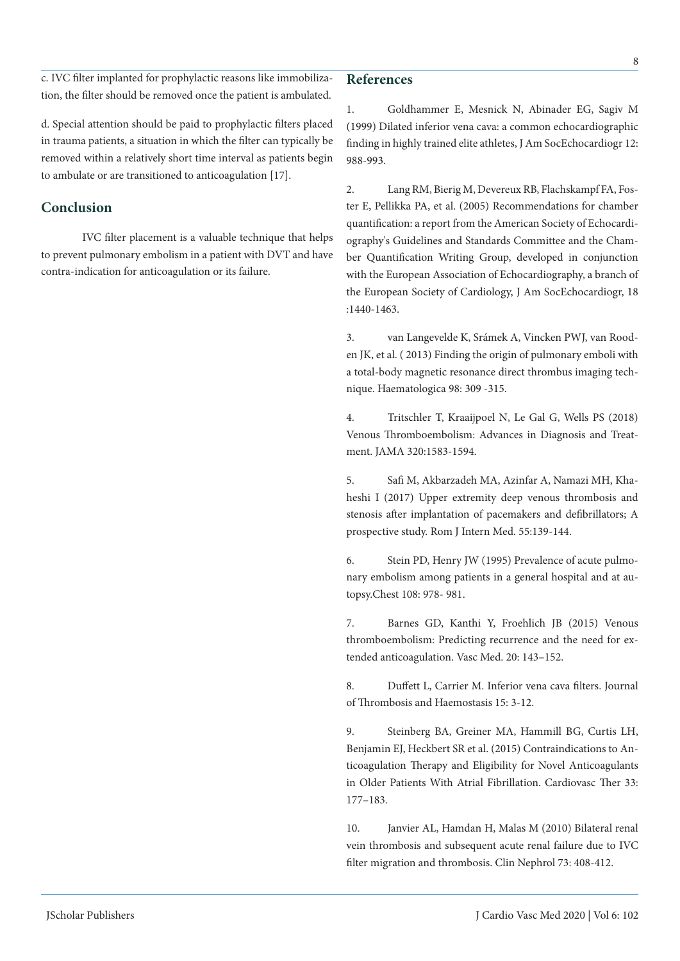c. IVC filter implanted for prophylactic reasons like immobilization, the filter should be removed once the patient is ambulated.

d. Special attention should be paid to prophylactic filters placed in trauma patients, a situation in which the filter can typically be removed within a relatively short time interval as patients begin to ambulate or are transitioned to anticoagulation [17].

## **Conclusion**

IVC filter placement is a valuable technique that helps to prevent pulmonary embolism in a patient with DVT and have contra-indication for anticoagulation or its failure.

## **References**

1. Goldhammer E, Mesnick N, Abinader EG, Sagiv M (1999) Dilated inferior vena cava: a common echocardiographic finding in highly trained elite athletes, J Am SocEchocardiogr 12: 988-993.

2. Lang RM, Bierig M, Devereux RB, Flachskampf FA, Foster E, Pellikka PA, et al. (2005) Recommendations for chamber quantification: a report from the American Society of Echocardiography's Guidelines and Standards Committee and the Chamber Quantification Writing Group, developed in conjunction with the European Association of Echocardiography, a branch of the European Society of Cardiology, J Am SocEchocardiogr, 18 :1440-1463.

3. van Langevelde K, Srámek A, Vincken PWJ, van Rooden JK, et al. ( 2013) Finding the origin of pulmonary emboli with a total-body magnetic resonance direct thrombus imaging technique. Haematologica 98: 309 -315.

4. Tritschler T, Kraaijpoel N, Le Gal G, Wells PS (2018) Venous Thromboembolism: Advances in Diagnosis and Treatment. JAMA 320:1583-1594.

5. Safi M, Akbarzadeh MA, Azinfar A, Namazi MH, Khaheshi I (2017) Upper extremity deep venous thrombosis and stenosis after implantation of pacemakers and defibrillators; A prospective study. Rom J Intern Med. 55:139-144.

6. Stein PD, Henry JW (1995) Prevalence of acute pulmonary embolism among patients in a general hospital and at autopsy.Chest 108: 978- 981.

7. Barnes GD, Kanthi Y, Froehlich JB (2015) Venous thromboembolism: Predicting recurrence and the need for extended anticoagulation. Vasc Med. 20: 143–152.

8. Duffett L, Carrier M. Inferior vena cava filters. Journal of Thrombosis and Haemostasis 15: 3-12.

9. Steinberg BA, Greiner MA, Hammill BG, Curtis LH, Benjamin EJ, Heckbert SR et al. (2015) Contraindications to Anticoagulation Therapy and Eligibility for Novel Anticoagulants in Older Patients With Atrial Fibrillation. Cardiovasc Ther 33: 177–183.

10. Janvier AL, Hamdan H, Malas M (2010) Bilateral renal vein thrombosis and subsequent acute renal failure due to IVC filter migration and thrombosis. Clin Nephrol 73: 408-412.